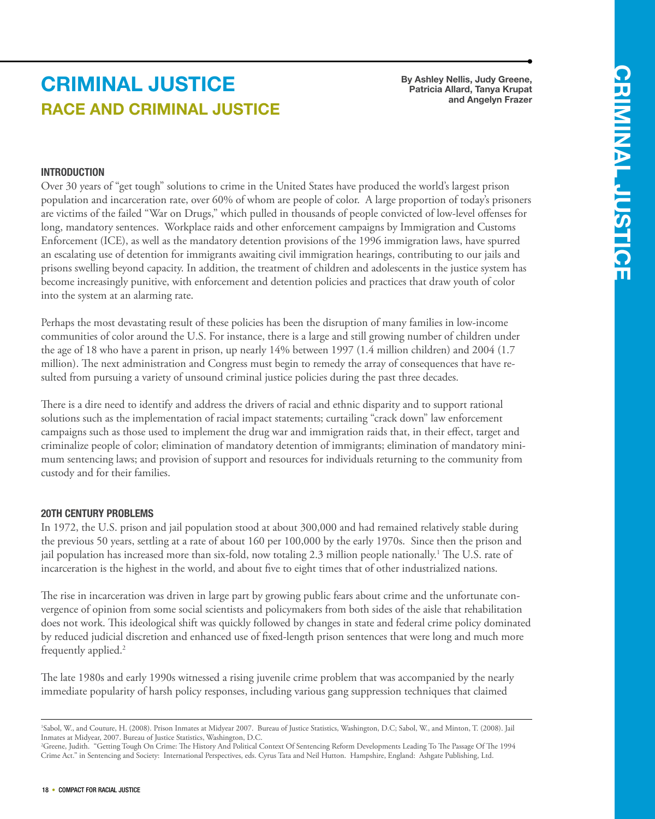# **RACE AND CRIMINAL JUSTICE criminal justice**

**By Ashley Nellis, Judy Greene, Patricia Allard, Tanya Krupat and Angelyn Frazer**

# **Introduction**

Over 30 years of "get tough" solutions to crime in the United States have produced the world's largest prison population and incarceration rate, over 60% of whom are people of color. A large proportion of today's prisoners are victims of the failed "War on Drugs," which pulled in thousands of people convicted of low-level offenses for long, mandatory sentences. Workplace raids and other enforcement campaigns by Immigration and Customs Enforcement (ICE), as well as the mandatory detention provisions of the 1996 immigration laws, have spurred an escalating use of detention for immigrants awaiting civil immigration hearings, contributing to our jails and prisons swelling beyond capacity. In addition, the treatment of children and adolescents in the justice system has become increasingly punitive, with enforcement and detention policies and practices that draw youth of color into the system at an alarming rate.

Perhaps the most devastating result of these policies has been the disruption of many families in low-income communities of color around the U.S. For instance, there is a large and still growing number of children under the age of 18 who have a parent in prison, up nearly 14% between 1997 (1.4 million children) and 2004 (1.7 million). The next administration and Congress must begin to remedy the array of consequences that have resulted from pursuing a variety of unsound criminal justice policies during the past three decades.

There is a dire need to identify and address the drivers of racial and ethnic disparity and to support rational solutions such as the implementation of racial impact statements; curtailing "crack down" law enforcement campaigns such as those used to implement the drug war and immigration raids that, in their effect, target and criminalize people of color; elimination of mandatory detention of immigrants; elimination of mandatory minimum sentencing laws; and provision of support and resources for individuals returning to the community from custody and for their families.

## **20th Century Problems**

In 1972, the U.S. prison and jail population stood at about 300,000 and had remained relatively stable during the previous 50 years, settling at a rate of about 160 per 100,000 by the early 1970s. Since then the prison and jail population has increased more than six-fold, now totaling 2.3 million people nationally.<sup>1</sup> The U.S. rate of incarceration is the highest in the world, and about five to eight times that of other industrialized nations.

The rise in incarceration was driven in large part by growing public fears about crime and the unfortunate convergence of opinion from some social scientists and policymakers from both sides of the aisle that rehabilitation does not work. This ideological shift was quickly followed by changes in state and federal crime policy dominated by reduced judicial discretion and enhanced use of fixed-length prison sentences that were long and much more frequently applied.<sup>2</sup>

The late 1980s and early 1990s witnessed a rising juvenile crime problem that was accompanied by the nearly immediate popularity of harsh policy responses, including various gang suppression techniques that claimed

<sup>1</sup> Sabol, W., and Couture, H. (2008). Prison Inmates at Midyear 2007. Bureau of Justice Statistics, Washington, D.C; Sabol, W., and Minton, T. (2008). Jail Inmates at Midyear, 2007. Bureau of Justice Statistics, Washington, D.C.

<sup>2</sup> Greene, Judith. "Getting Tough On Crime: The History And Political Context Of Sentencing Reform Developments Leading To The Passage Of The 1994 Crime Act." in Sentencing and Society: International Perspectives, eds. Cyrus Tata and Neil Hutton. Hampshire, England: Ashgate Publishing, Ltd.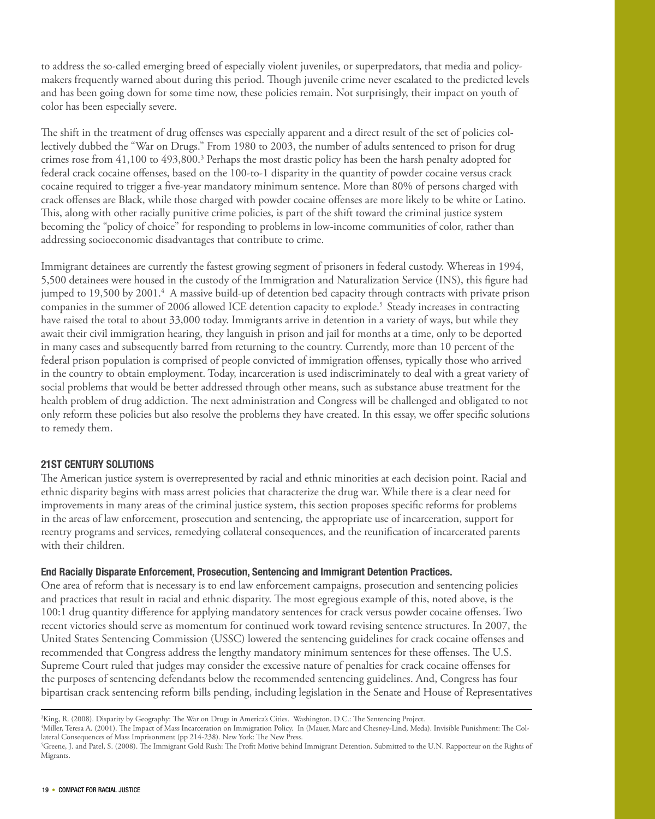to address the so-called emerging breed of especially violent juveniles, or superpredators, that media and policymakers frequently warned about during this period. Though juvenile crime never escalated to the predicted levels and has been going down for some time now, these policies remain. Not surprisingly, their impact on youth of color has been especially severe.

The shift in the treatment of drug offenses was especially apparent and a direct result of the set of policies collectively dubbed the "War on Drugs." From 1980 to 2003, the number of adults sentenced to prison for drug crimes rose from 41,100 to 493,800.<sup>3</sup> Perhaps the most drastic policy has been the harsh penalty adopted for federal crack cocaine offenses, based on the 100-to-1 disparity in the quantity of powder cocaine versus crack cocaine required to trigger a five-year mandatory minimum sentence. More than 80% of persons charged with crack offenses are Black, while those charged with powder cocaine offenses are more likely to be white or Latino. This, along with other racially punitive crime policies, is part of the shift toward the criminal justice system becoming the "policy of choice" for responding to problems in low-income communities of color, rather than addressing socioeconomic disadvantages that contribute to crime.

Immigrant detainees are currently the fastest growing segment of prisoners in federal custody. Whereas in 1994, 5,500 detainees were housed in the custody of the Immigration and Naturalization Service (INS), this figure had jumped to 19,500 by 2001.<sup>4</sup> A massive build-up of detention bed capacity through contracts with private prison companies in the summer of 2006 allowed ICE detention capacity to explode.<sup>5</sup> Steady increases in contracting have raised the total to about 33,000 today. Immigrants arrive in detention in a variety of ways, but while they await their civil immigration hearing, they languish in prison and jail for months at a time, only to be deported in many cases and subsequently barred from returning to the country. Currently, more than 10 percent of the federal prison population is comprised of people convicted of immigration offenses, typically those who arrived in the country to obtain employment. Today, incarceration is used indiscriminately to deal with a great variety of social problems that would be better addressed through other means, such as substance abuse treatment for the health problem of drug addiction. The next administration and Congress will be challenged and obligated to not only reform these policies but also resolve the problems they have created. In this essay, we offer specific solutions to remedy them.

## **21st Century Solutions**

The American justice system is overrepresented by racial and ethnic minorities at each decision point. Racial and ethnic disparity begins with mass arrest policies that characterize the drug war. While there is a clear need for improvements in many areas of the criminal justice system, this section proposes specific reforms for problems in the areas of law enforcement, prosecution and sentencing, the appropriate use of incarceration, support for reentry programs and services, remedying collateral consequences, and the reunification of incarcerated parents with their children.

#### **End Racially Disparate Enforcement, Prosecution, Sentencing and Immigrant Detention Practices.**

One area of reform that is necessary is to end law enforcement campaigns, prosecution and sentencing policies and practices that result in racial and ethnic disparity. The most egregious example of this, noted above, is the 100:1 drug quantity difference for applying mandatory sentences for crack versus powder cocaine offenses. Two recent victories should serve as momentum for continued work toward revising sentence structures. In 2007, the United States Sentencing Commission (USSC) lowered the sentencing guidelines for crack cocaine offenses and recommended that Congress address the lengthy mandatory minimum sentences for these offenses. The U.S. Supreme Court ruled that judges may consider the excessive nature of penalties for crack cocaine offenses for the purposes of sentencing defendants below the recommended sentencing guidelines. And, Congress has four bipartisan crack sentencing reform bills pending, including legislation in the Senate and House of Representatives

<sup>3</sup> King, R. (2008). Disparity by Geography: The War on Drugs in America's Cities. Washington, D.C.: The Sentencing Project.

<sup>4</sup> Miller, Teresa A. (2001). The Impact of Mass Incarceration on Immigration Policy. In (Mauer, Marc and Chesney-Lind, Meda). Invisible Punishment: The Collateral Consequences of Mass Imprisonment (pp 214-238). New York: The New Press.

<sup>&</sup>lt;sup>5</sup>Greene, J. and Patel, S. (2008). The Immigrant Gold Rush: The Profit Motive behind Immigrant Detention. Submitted to the U.N. Rapporteur on the Rights of Migrants.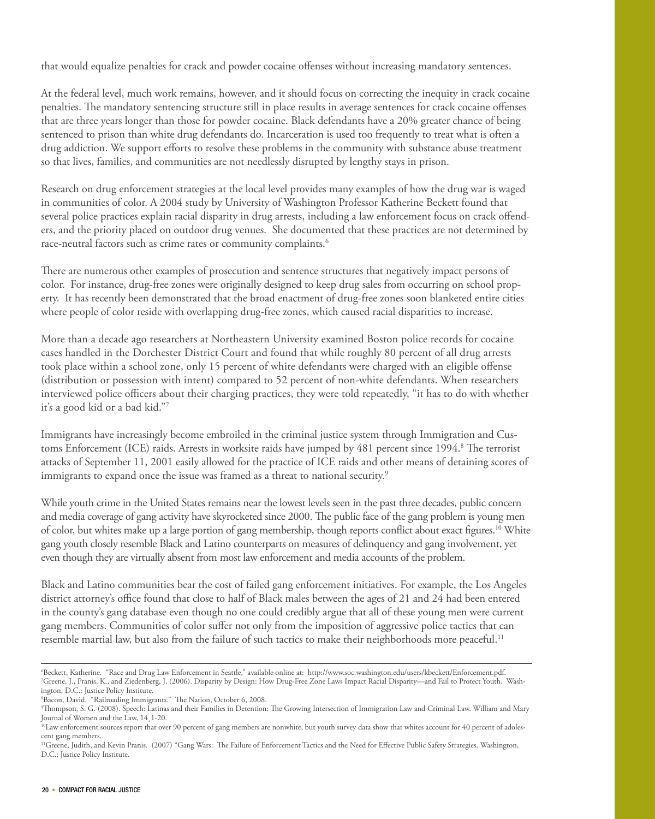that would equalize penalties for crack and powder cocaine offenses without increasing mandatory sentences.

At the federal level, much work remains, however, and it should focus on correcting the inequity in crack cocaine penalties. The mandatory sentencing structure still in place results in average sentences for crack cocaine offenses that are three years longer than those for powder cocaine. Black defendants have a 20% greater chance of being sentenced to prison than white drug defendants do. Incarceration is used too frequently to treat what is often a drug addiction. We support efforts to resolve these problems in the community with substance abuse treatment so that lives, families, and communities are not needlessly disrupted by lengthy stays in prison.

Research on drug enforcement strategies at the local level provides many examples of how the drug war is waged in communities of color. A 2004 study by University of Washington Professor Katherine Beckett found that several police practices explain racial disparity in drug arrests, including a law enforcement focus on crack offenders, and the priority placed on outdoor drug venues. She documented that these practices are not determined by race-neutral factors such as crime rates or community complaints.<sup>6</sup>

There are numerous other examples of prosecution and sentence structures that negatively impact persons of color. For instance, drug-free zones were originally designed to keep drug sales from occurring on school property. It has recently been demonstrated that the broad enactment of drug-free zones soon blanketed entire cities where people of color reside with overlapping drug-free zones, which caused racial disparities to increase.

More than a decade ago researchers at Northeastern University examined Boston police records for cocaine cases handled in the Dorchester District Court and found that while roughly 80 percent of all drug arrests took place within a school zone, only 15 percent of white defendants were charged with an eligible offense (distribution or possession with intent) compared to 52 percent of non-white defendants. When researchers interviewed police officers about their charging practices, they were told repeatedly, "it has to do with whether it's a good kid or a bad kid."7

Immigrants have increasingly become embroiled in the criminal justice system through Immigration and Customs Enforcement (ICE) raids. Arrests in worksite raids have jumped by 481 percent since 1994.<sup>8</sup> The terrorist attacks of September 11, 2001 easily allowed for the practice of ICE raids and other means of detaining scores of immigrants to expand once the issue was framed as a threat to national security.<sup>9</sup>

While youth crime in the United States remains near the lowest levels seen in the past three decades, public concern and media coverage of gang activity have skyrocketed since 2000. The public face of the gang problem is young men of color, but whites make up a large portion of gang membership, though reports conflict about exact figures.10 White gang youth closely resemble Black and Latino counterparts on measures of delinquency and gang involvement, yet even though they are virtually absent from most law enforcement and media accounts of the problem.

Black and Latino communities bear the cost of failed gang enforcement initiatives. For example, the Los Angeles district attorney's office found that close to half of Black males between the ages of 21 and 24 had been entered in the county's gang database even though no one could credibly argue that all of these young men were current gang members. Communities of color suffer not only from the imposition of aggressive police tactics that can resemble martial law, but also from the failure of such tactics to make their neighborhoods more peaceful.<sup>11</sup>

<sup>6</sup> Beckett, Katherine. "Race and Drug Law Enforcement in Seattle," available online at: http://www.soc.washington.edu/users/kbeckett/Enforcement.pdf. 7 Greene, J., Pranis, K., and Ziedenberg, J. (2006). Disparity by Design: How Drug-Free Zone Laws Impact Racial Disparity—and Fail to Protect Youth. Washington, D.C.: Justice Policy Institute.

<sup>8</sup> Bacon, David. "Railroading Immigrants." The Nation, October 6, 2008.

<sup>9</sup> Thompson, S. G. (2008). Speech: Latinas and their Families in Detention: The Growing Intersection of Immigration Law and Criminal Law. William and Mary Journal of Women and the Law, 14¸1-20.

<sup>&</sup>lt;sup>10</sup>Law enforcement sources report that over 90 percent of gang members are nonwhite, but youth survey data show that whites account for 40 percent of adolescent gang members.

<sup>&</sup>lt;sup>11</sup>Greene, Judith, and Kevin Pranis. (2007) "Gang Wars: The Failure of Enforcement Tactics and the Need for Effective Public Safety Strategies. Washington, D.C.: Justice Policy Institute.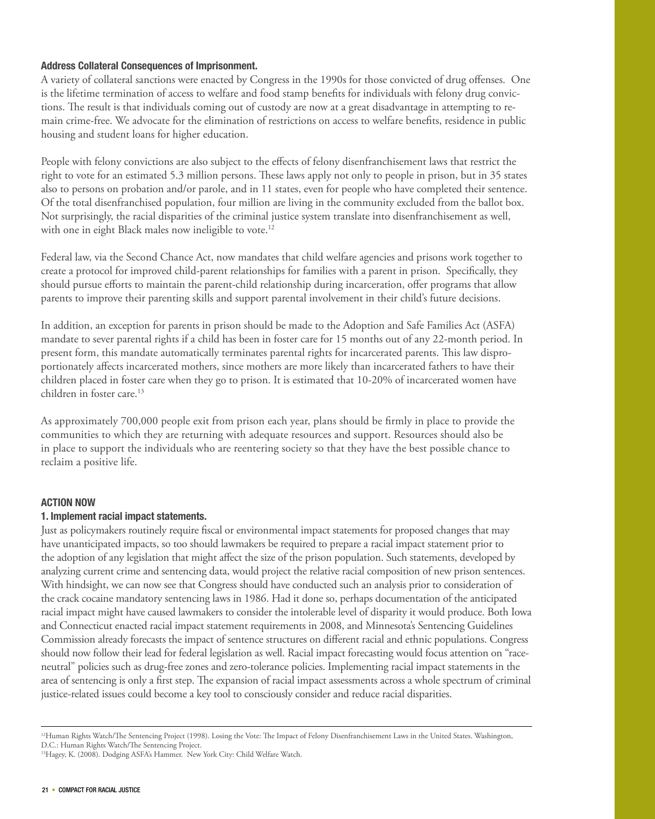### **Address Collateral Consequences of Imprisonment.**

A variety of collateral sanctions were enacted by Congress in the 1990s for those convicted of drug offenses. One is the lifetime termination of access to welfare and food stamp benefits for individuals with felony drug convictions. The result is that individuals coming out of custody are now at a great disadvantage in attempting to remain crime-free. We advocate for the elimination of restrictions on access to welfare benefits, residence in public housing and student loans for higher education.

People with felony convictions are also subject to the effects of felony disenfranchisement laws that restrict the right to vote for an estimated 5.3 million persons. These laws apply not only to people in prison, but in 35 states also to persons on probation and/or parole, and in 11 states, even for people who have completed their sentence. Of the total disenfranchised population, four million are living in the community excluded from the ballot box. Not surprisingly, the racial disparities of the criminal justice system translate into disenfranchisement as well, with one in eight Black males now ineligible to vote.<sup>12</sup>

Federal law, via the Second Chance Act, now mandates that child welfare agencies and prisons work together to create a protocol for improved child-parent relationships for families with a parent in prison. Specifically, they should pursue efforts to maintain the parent-child relationship during incarceration, offer programs that allow parents to improve their parenting skills and support parental involvement in their child's future decisions.

In addition, an exception for parents in prison should be made to the Adoption and Safe Families Act (ASFA) mandate to sever parental rights if a child has been in foster care for 15 months out of any 22-month period. In present form, this mandate automatically terminates parental rights for incarcerated parents. This law disproportionately affects incarcerated mothers, since mothers are more likely than incarcerated fathers to have their children placed in foster care when they go to prison. It is estimated that 10-20% of incarcerated women have children in foster care.13

As approximately 700,000 people exit from prison each year, plans should be firmly in place to provide the communities to which they are returning with adequate resources and support. Resources should also be in place to support the individuals who are reentering society so that they have the best possible chance to reclaim a positive life.

#### **Action Now**

#### **1. Implement racial impact statements.**

Just as policymakers routinely require fiscal or environmental impact statements for proposed changes that may have unanticipated impacts, so too should lawmakers be required to prepare a racial impact statement prior to the adoption of any legislation that might affect the size of the prison population. Such statements, developed by analyzing current crime and sentencing data, would project the relative racial composition of new prison sentences. With hindsight, we can now see that Congress should have conducted such an analysis prior to consideration of the crack cocaine mandatory sentencing laws in 1986. Had it done so, perhaps documentation of the anticipated racial impact might have caused lawmakers to consider the intolerable level of disparity it would produce. Both Iowa and Connecticut enacted racial impact statement requirements in 2008, and Minnesota's Sentencing Guidelines Commission already forecasts the impact of sentence structures on different racial and ethnic populations. Congress should now follow their lead for federal legislation as well. Racial impact forecasting would focus attention on "raceneutral" policies such as drug-free zones and zero-tolerance policies. Implementing racial impact statements in the area of sentencing is only a first step. The expansion of racial impact assessments across a whole spectrum of criminal justice-related issues could become a key tool to consciously consider and reduce racial disparities.

<sup>&</sup>lt;sup>12</sup>Human Rights Watch/The Sentencing Project (1998). Losing the Vote: The Impact of Felony Disenfranchisement Laws in the United States. Washington, D.C.: Human Rights Watch/The Sentencing Project.

<sup>13</sup>Hagey, K. (2008). Dodging ASFA's Hammer. New York City: Child Welfare Watch.